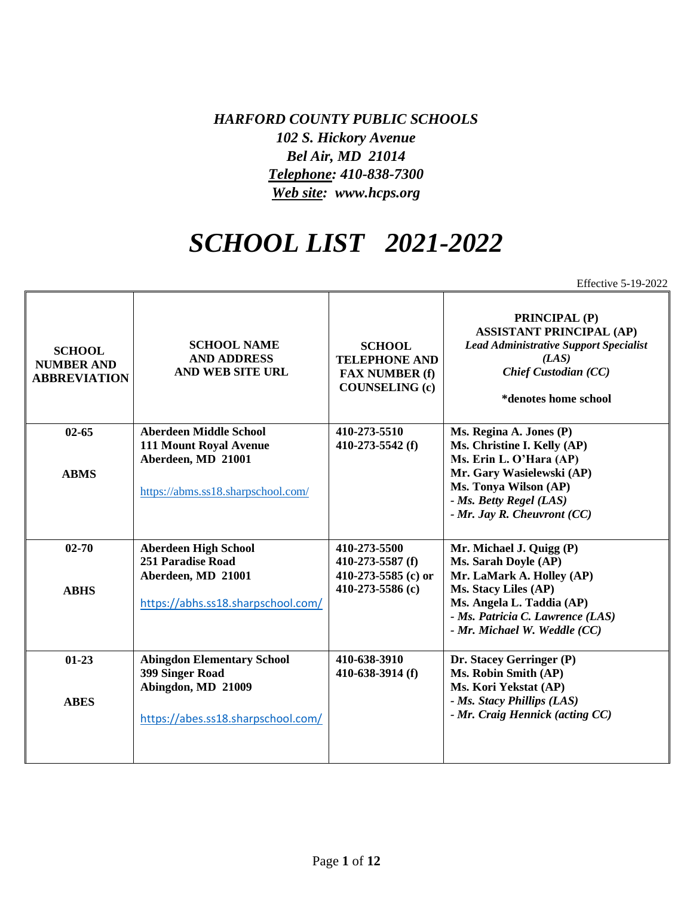*HARFORD COUNTY PUBLIC SCHOOLS 102 S. Hickory Avenue Bel Air, MD 21014 Telephone: 410-838-7300 Web site: www.hcps.org*

## *SCHOOL LIST 2021-2022*

Effective 5-19-2022

| <b>SCHOOL</b><br><b>NUMBER AND</b><br><b>ABBREVIATION</b> | <b>SCHOOL NAME</b><br><b>AND ADDRESS</b><br><b>AND WEB SITE URL</b> | <b>SCHOOL</b><br><b>TELEPHONE AND</b><br><b>FAX NUMBER (f)</b><br><b>COUNSELING (c)</b> | <b>PRINCIPAL (P)</b><br><b>ASSISTANT PRINCIPAL (AP)</b><br><b>Lead Administrative Support Specialist</b><br>(LAS)<br><b>Chief Custodian (CC)</b><br>*denotes home school |
|-----------------------------------------------------------|---------------------------------------------------------------------|-----------------------------------------------------------------------------------------|--------------------------------------------------------------------------------------------------------------------------------------------------------------------------|
| $02 - 65$                                                 | <b>Aberdeen Middle School</b>                                       | 410-273-5510                                                                            | Ms. Regina A. Jones (P)                                                                                                                                                  |
|                                                           | <b>111 Mount Royal Avenue</b><br>Aberdeen, MD 21001                 | 410-273-5542 (f)                                                                        | Ms. Christine I. Kelly (AP)<br>Ms. Erin L. O'Hara (AP)                                                                                                                   |
| <b>ABMS</b>                                               |                                                                     |                                                                                         | Mr. Gary Wasielewski (AP)                                                                                                                                                |
|                                                           | https://abms.ss18.sharpschool.com/                                  |                                                                                         | Ms. Tonya Wilson (AP)                                                                                                                                                    |
|                                                           |                                                                     |                                                                                         | - Ms. Betty Regel (LAS)                                                                                                                                                  |
|                                                           |                                                                     |                                                                                         | $-Mr.$ Jay R. Cheuvront (CC)                                                                                                                                             |
| $02 - 70$                                                 | <b>Aberdeen High School</b>                                         | 410-273-5500                                                                            | Mr. Michael J. Quigg (P)                                                                                                                                                 |
|                                                           | 251 Paradise Road                                                   | $410-273-5587$ (f)                                                                      | Ms. Sarah Doyle (AP)                                                                                                                                                     |
|                                                           | Aberdeen, MD 21001                                                  | 410-273-5585 (c) or                                                                     | Mr. LaMark A. Holley (AP)                                                                                                                                                |
| <b>ABHS</b>                                               | https://abhs.ss18.sharpschool.com/                                  | 410-273-5586 (c)                                                                        | Ms. Stacy Liles (AP)<br>Ms. Angela L. Taddia (AP)                                                                                                                        |
|                                                           |                                                                     |                                                                                         | - Ms. Patricia C. Lawrence (LAS)                                                                                                                                         |
|                                                           |                                                                     |                                                                                         | - Mr. Michael W. Weddle (CC)                                                                                                                                             |
| $01-23$                                                   | <b>Abingdon Elementary School</b>                                   | 410-638-3910                                                                            | Dr. Stacey Gerringer (P)                                                                                                                                                 |
|                                                           | 399 Singer Road                                                     | 410-638-3914 (f)                                                                        | Ms. Robin Smith (AP)                                                                                                                                                     |
|                                                           | Abingdon, MD 21009                                                  |                                                                                         | Ms. Kori Yekstat (AP)                                                                                                                                                    |
| <b>ABES</b>                                               |                                                                     |                                                                                         | - Ms. Stacy Phillips (LAS)<br>- Mr. Craig Hennick (acting CC)                                                                                                            |
|                                                           | https://abes.ss18.sharpschool.com/                                  |                                                                                         |                                                                                                                                                                          |
|                                                           |                                                                     |                                                                                         |                                                                                                                                                                          |
|                                                           |                                                                     |                                                                                         |                                                                                                                                                                          |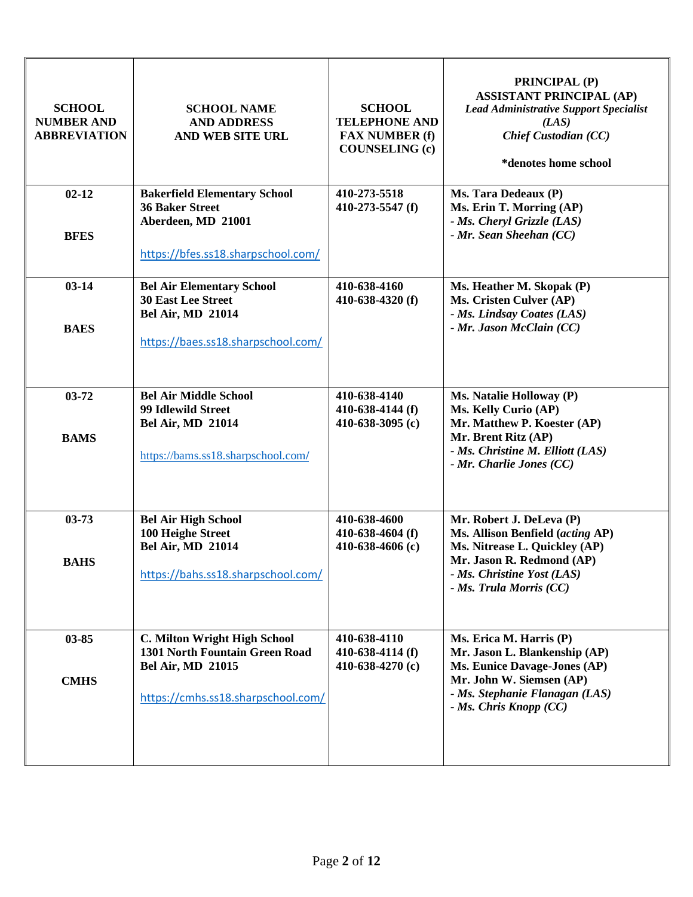| <b>SCHOOL</b><br><b>NUMBER AND</b><br><b>ABBREVIATION</b> | <b>SCHOOL NAME</b><br><b>AND ADDRESS</b><br>AND WEB SITE URL                                                                     | <b>SCHOOL</b><br><b>TELEPHONE AND</b><br><b>FAX NUMBER (f)</b><br><b>COUNSELING (c)</b> | <b>PRINCIPAL (P)</b><br><b>ASSISTANT PRINCIPAL (AP)</b><br><b>Lead Administrative Support Specialist</b><br>(LAS)<br><b>Chief Custodian (CC)</b><br>*denotes home school            |
|-----------------------------------------------------------|----------------------------------------------------------------------------------------------------------------------------------|-----------------------------------------------------------------------------------------|-------------------------------------------------------------------------------------------------------------------------------------------------------------------------------------|
| $02 - 12$<br><b>BFES</b>                                  | <b>Bakerfield Elementary School</b><br><b>36 Baker Street</b><br>Aberdeen, MD 21001<br>https://bfes.ss18.sharpschool.com/        | 410-273-5518<br>410-273-5547 $(f)$                                                      | Ms. Tara Dedeaux (P)<br>Ms. Erin T. Morring (AP)<br>- Ms. Cheryl Grizzle (LAS)<br>- Mr. Sean Sheehan (CC)                                                                           |
| $03 - 14$<br><b>BAES</b>                                  | <b>Bel Air Elementary School</b><br><b>30 East Lee Street</b><br><b>Bel Air, MD 21014</b><br>https://baes.ss18.sharpschool.com/  | 410-638-4160<br>410-638-4320 $(f)$                                                      | Ms. Heather M. Skopak (P)<br>Ms. Cristen Culver (AP)<br>- Ms. Lindsay Coates (LAS)<br>- Mr. Jason McClain (CC)                                                                      |
| $03 - 72$<br><b>BAMS</b>                                  | <b>Bel Air Middle School</b><br>99 Idlewild Street<br><b>Bel Air, MD 21014</b><br>https://bams.ss18.sharpschool.com/             | 410-638-4140<br>410-638-4144 (f)<br>410-638-3095 $(c)$                                  | Ms. Natalie Holloway (P)<br>Ms. Kelly Curio (AP)<br>Mr. Matthew P. Koester (AP)<br>Mr. Brent Ritz (AP)<br>- Ms. Christine M. Elliott (LAS)<br>- Mr. Charlie Jones (CC)              |
| $03 - 73$<br><b>BAHS</b>                                  | <b>Bel Air High School</b><br>100 Heighe Street<br><b>Bel Air, MD 21014</b><br>https://bahs.ss18.sharpschool.com/                | 410-638-4600<br>410-638-4604 $(f)$<br>410-638-4606 $(c)$                                | Mr. Robert J. DeLeva (P)<br>Ms. Allison Benfield (acting AP)<br>Ms. Nitrease L. Quickley (AP)<br>Mr. Jason R. Redmond (AP)<br>- Ms. Christine Yost (LAS)<br>- Ms. Trula Morris (CC) |
| $03 - 85$<br><b>CMHS</b>                                  | C. Milton Wright High School<br>1301 North Fountain Green Road<br><b>Bel Air, MD 21015</b><br>https://cmhs.ss18.sharpschool.com/ | 410-638-4110<br>410-638-4114 (f)<br>410-638-4270 $(c)$                                  | Ms. Erica M. Harris (P)<br>Mr. Jason L. Blankenship (AP)<br>Ms. Eunice Davage-Jones (AP)<br>Mr. John W. Siemsen (AP)<br>- Ms. Stephanie Flanagan (LAS)<br>- Ms. Chris Knopp (CC)    |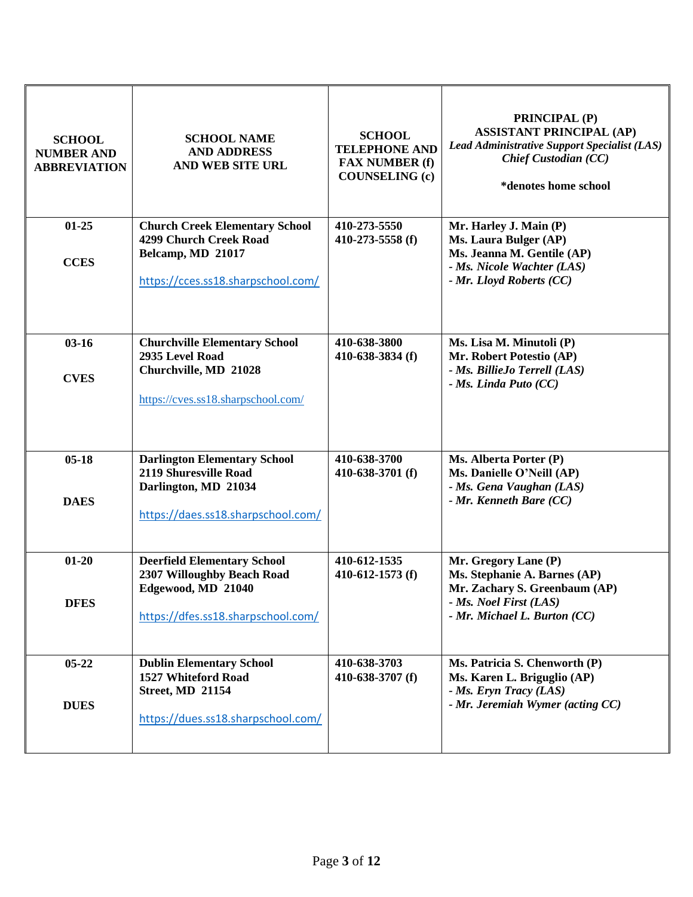| <b>SCHOOL</b><br><b>NUMBER AND</b><br><b>ABBREVIATION</b> | <b>SCHOOL NAME</b><br><b>AND ADDRESS</b><br>AND WEB SITE URL                                                                 | <b>SCHOOL</b><br><b>TELEPHONE AND</b><br><b>FAX NUMBER (f)</b><br><b>COUNSELING</b> (c) | PRINCIPAL (P)<br><b>ASSISTANT PRINCIPAL (AP)</b><br>Lead Administrative Support Specialist (LAS)<br>Chief Custodian (CC)<br>*denotes home school |
|-----------------------------------------------------------|------------------------------------------------------------------------------------------------------------------------------|-----------------------------------------------------------------------------------------|--------------------------------------------------------------------------------------------------------------------------------------------------|
| $01 - 25$<br><b>CCES</b>                                  | <b>Church Creek Elementary School</b><br>4299 Church Creek Road<br>Belcamp, MD 21017<br>https://cces.ss18.sharpschool.com/   | 410-273-5550<br>410-273-5558 (f)                                                        | Mr. Harley J. Main (P)<br>Ms. Laura Bulger (AP)<br>Ms. Jeanna M. Gentile (AP)<br>- Ms. Nicole Wachter (LAS)<br>- Mr. Lloyd Roberts (CC)          |
| $03 - 16$<br><b>CVES</b>                                  | <b>Churchville Elementary School</b><br>2935 Level Road<br>Churchville, MD 21028<br>https://cves.ss18.sharpschool.com/       | 410-638-3800<br>410-638-3834 (f)                                                        | Ms. Lisa M. Minutoli (P)<br>Mr. Robert Potestio (AP)<br>- Ms. BillieJo Terrell (LAS)<br>- Ms. Linda Puto (CC)                                    |
| $05-18$<br><b>DAES</b>                                    | <b>Darlington Elementary School</b><br>2119 Shuresville Road<br>Darlington, MD 21034<br>https://daes.ss18.sharpschool.com/   | 410-638-3700<br>410-638-3701 (f)                                                        | Ms. Alberta Porter (P)<br>Ms. Danielle O'Neill (AP)<br>- Ms. Gena Vaughan (LAS)<br>- Mr. Kenneth Bare (CC)                                       |
| $01 - 20$<br><b>DFES</b>                                  | <b>Deerfield Elementary School</b><br>2307 Willoughby Beach Road<br>Edgewood, MD 21040<br>https://dfes.ss18.sharpschool.com/ | 410-612-1535<br>410-612-1573 $(f)$                                                      | Mr. Gregory Lane (P)<br>Ms. Stephanie A. Barnes (AP)<br>Mr. Zachary S. Greenbaum (AP)<br>- Ms. Noel First (LAS)<br>- Mr. Michael L. Burton (CC)  |
| $05 - 22$<br><b>DUES</b>                                  | <b>Dublin Elementary School</b><br>1527 Whiteford Road<br><b>Street, MD 21154</b><br>https://dues.ss18.sharpschool.com/      | 410-638-3703<br>410-638-3707 (f)                                                        | Ms. Patricia S. Chenworth (P)<br>Ms. Karen L. Briguglio (AP)<br>- Ms. Eryn Tracy (LAS)<br>- Mr. Jeremiah Wymer (acting CC)                       |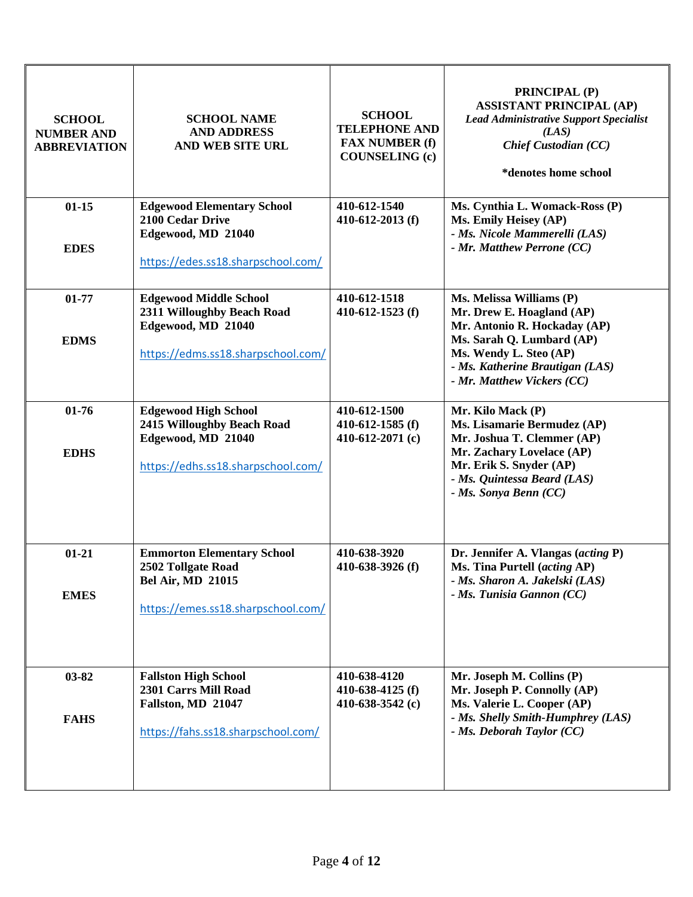| <b>SCHOOL</b><br><b>NUMBER AND</b><br><b>ABBREVIATION</b> | <b>SCHOOL NAME</b><br><b>AND ADDRESS</b><br>AND WEB SITE URL                                                              | <b>SCHOOL</b><br><b>TELEPHONE AND</b><br><b>FAX NUMBER (f)</b><br><b>COUNSELING (c)</b> | <b>PRINCIPAL (P)</b><br><b>ASSISTANT PRINCIPAL (AP)</b><br><b>Lead Administrative Support Specialist</b><br>(LAS)<br><b>Chief Custodian (CC)</b><br>*denotes home school                                      |
|-----------------------------------------------------------|---------------------------------------------------------------------------------------------------------------------------|-----------------------------------------------------------------------------------------|---------------------------------------------------------------------------------------------------------------------------------------------------------------------------------------------------------------|
| $01 - 15$<br><b>EDES</b>                                  | <b>Edgewood Elementary School</b><br>2100 Cedar Drive<br>Edgewood, MD 21040<br>https://edes.ss18.sharpschool.com/         | 410-612-1540<br>410-612-2013 (f)                                                        | Ms. Cynthia L. Womack-Ross (P)<br>Ms. Emily Heisey (AP)<br>- Ms. Nicole Mammerelli (LAS)<br>- Mr. Matthew Perrone (CC)                                                                                        |
| $01 - 77$<br><b>EDMS</b>                                  | <b>Edgewood Middle School</b><br>2311 Willoughby Beach Road<br>Edgewood, MD 21040<br>https://edms.ss18.sharpschool.com/   | 410-612-1518<br>410-612-1523 $(f)$                                                      | Ms. Melissa Williams (P)<br>Mr. Drew E. Hoagland (AP)<br>Mr. Antonio R. Hockaday (AP)<br>Ms. Sarah Q. Lumbard (AP)<br>Ms. Wendy L. Steo (AP)<br>- Ms. Katherine Brautigan (LAS)<br>- Mr. Matthew Vickers (CC) |
| $01 - 76$<br><b>EDHS</b>                                  | <b>Edgewood High School</b><br>2415 Willoughby Beach Road<br>Edgewood, MD 21040<br>https://edhs.ss18.sharpschool.com/     | 410-612-1500<br>410-612-1585 $(f)$<br>410-612-2071 $(c)$                                | Mr. Kilo Mack (P)<br>Ms. Lisamarie Bermudez (AP)<br>Mr. Joshua T. Clemmer (AP)<br>Mr. Zachary Lovelace (AP)<br>Mr. Erik S. Snyder (AP)<br>- Ms. Quintessa Beard (LAS)<br>- Ms. Sonya Benn (CC)                |
| $01 - 21$<br><b>EMES</b>                                  | <b>Emmorton Elementary School</b><br>2502 Tollgate Road<br><b>Bel Air, MD 21015</b><br>https://emes.ss18.sharpschool.com/ | 410-638-3920<br>410-638-3926 (f)                                                        | Dr. Jennifer A. Vlangas (acting P)<br>Ms. Tina Purtell (acting AP)<br>- Ms. Sharon A. Jakelski (LAS)<br>- Ms. Tunisia Gannon (CC)                                                                             |
| 03-82<br><b>FAHS</b>                                      | <b>Fallston High School</b><br>2301 Carrs Mill Road<br>Fallston, MD 21047<br>https://fahs.ss18.sharpschool.com/           | 410-638-4120<br>410-638-4125 (f)<br>410-638-3542 $(c)$                                  | Mr. Joseph M. Collins (P)<br>Mr. Joseph P. Connolly (AP)<br>Ms. Valerie L. Cooper (AP)<br>- Ms. Shelly Smith-Humphrey (LAS)<br>- Ms. Deborah Taylor (CC)                                                      |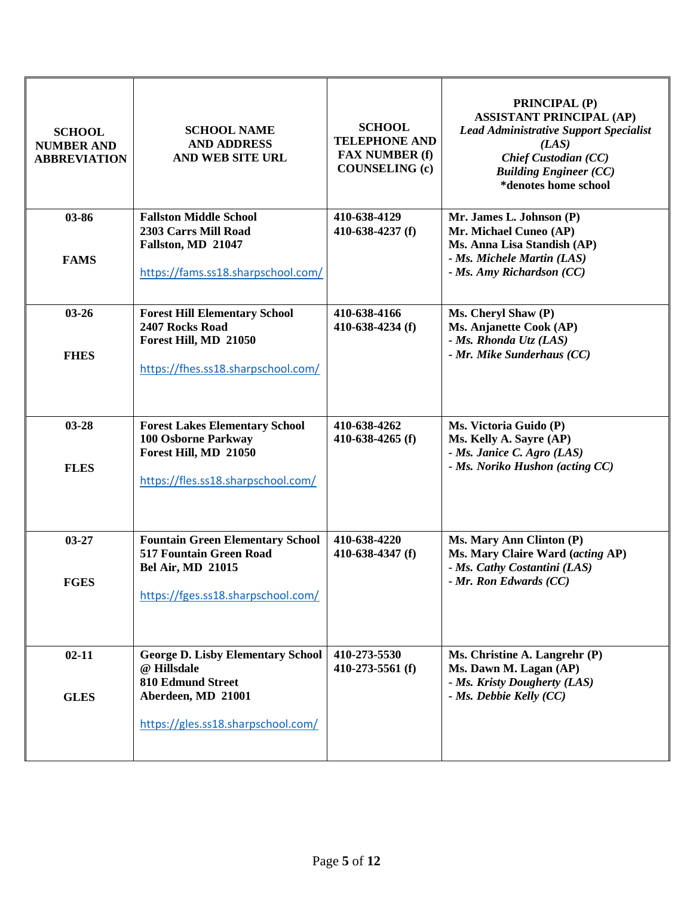| <b>SCHOOL</b><br><b>NUMBER AND</b><br><b>ABBREVIATION</b> | <b>SCHOOL NAME</b><br><b>AND ADDRESS</b><br><b>AND WEB SITE URL</b>                                                                             | <b>SCHOOL</b><br><b>TELEPHONE AND</b><br><b>FAX NUMBER (f)</b><br><b>COUNSELING</b> (c) | <b>PRINCIPAL (P)</b><br><b>ASSISTANT PRINCIPAL (AP)</b><br><b>Lead Administrative Support Specialist</b><br>(LAS)<br><b>Chief Custodian (CC)</b><br><b>Building Engineer (CC)</b><br>*denotes home school |
|-----------------------------------------------------------|-------------------------------------------------------------------------------------------------------------------------------------------------|-----------------------------------------------------------------------------------------|-----------------------------------------------------------------------------------------------------------------------------------------------------------------------------------------------------------|
| 03-86<br><b>FAMS</b>                                      | <b>Fallston Middle School</b><br>2303 Carrs Mill Road<br>Fallston, MD 21047<br>https://fams.ss18.sharpschool.com/                               | 410-638-4129<br>410-638-4237 (f)                                                        | Mr. James L. Johnson (P)<br>Mr. Michael Cuneo (AP)<br>Ms. Anna Lisa Standish (AP)<br>- Ms. Michele Martin (LAS)<br>- Ms. Amy Richardson (CC)                                                              |
| $03 - 26$<br><b>FHES</b>                                  | <b>Forest Hill Elementary School</b><br>2407 Rocks Road<br>Forest Hill, MD 21050<br>https://fhes.ss18.sharpschool.com/                          | 410-638-4166<br>410-638-4234 (f)                                                        | Ms. Cheryl Shaw (P)<br>Ms. Anjanette Cook (AP)<br>- Ms. Rhonda Utz (LAS)<br>- Mr. Mike Sunderhaus (CC)                                                                                                    |
| $03 - 28$<br><b>FLES</b>                                  | <b>Forest Lakes Elementary School</b><br><b>100 Osborne Parkway</b><br>Forest Hill, MD 21050<br>https://fles.ss18.sharpschool.com/              | 410-638-4262<br>410-638-4265 $(f)$                                                      | Ms. Victoria Guido (P)<br>Ms. Kelly A. Sayre (AP)<br>- Ms. Janice C. Agro (LAS)<br>- Ms. Noriko Hushon (acting CC)                                                                                        |
| $03 - 27$<br><b>FGES</b>                                  | <b>Fountain Green Elementary School</b><br>517 Fountain Green Road<br><b>Bel Air, MD 21015</b><br>https://fges.ss18.sharpschool.com/            | 410-638-4220<br>410-638-4347 (f)                                                        | Ms. Mary Ann Clinton (P)<br>Ms. Mary Claire Ward (acting AP)<br>- Ms. Cathy Costantini (LAS)<br>- Mr. Ron Edwards (CC)                                                                                    |
| $02 - 11$<br><b>GLES</b>                                  | <b>George D. Lisby Elementary School</b><br>@ Hillsdale<br><b>810 Edmund Street</b><br>Aberdeen, MD 21001<br>https://gles.ss18.sharpschool.com/ | 410-273-5530<br>410-273-5561 (f)                                                        | Ms. Christine A. Langrehr (P)<br>Ms. Dawn M. Lagan (AP)<br>- Ms. Kristy Dougherty (LAS)<br>- Ms. Debbie Kelly (CC)                                                                                        |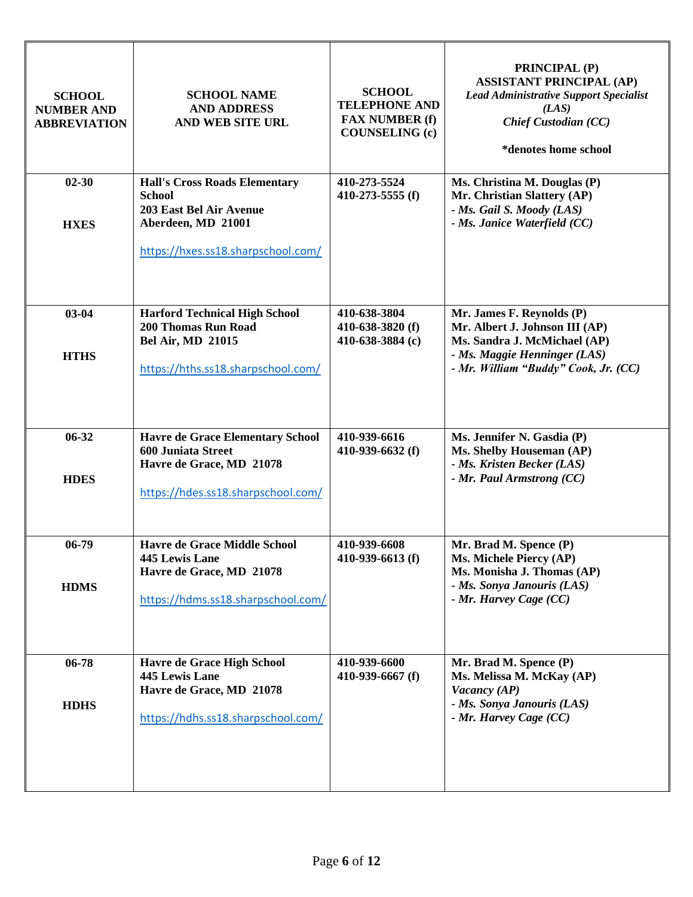| <b>SCHOOL</b><br><b>NUMBER AND</b><br><b>ABBREVIATION</b> | <b>SCHOOL NAME</b><br><b>AND ADDRESS</b><br><b>AND WEB SITE URL</b>                                                                                 | <b>SCHOOL</b><br><b>TELEPHONE AND</b><br><b>FAX NUMBER (f)</b><br><b>COUNSELING (c)</b> | <b>PRINCIPAL (P)</b><br><b>ASSISTANT PRINCIPAL (AP)</b><br><b>Lead Administrative Support Specialist</b><br>(LAS)<br><b>Chief Custodian (CC)</b><br>*denotes home school |
|-----------------------------------------------------------|-----------------------------------------------------------------------------------------------------------------------------------------------------|-----------------------------------------------------------------------------------------|--------------------------------------------------------------------------------------------------------------------------------------------------------------------------|
| $02 - 30$<br><b>HXES</b>                                  | <b>Hall's Cross Roads Elementary</b><br><b>School</b><br><b>203 East Bel Air Avenue</b><br>Aberdeen, MD 21001<br>https://hxes.ss18.sharpschool.com/ | 410-273-5524<br>410-273-5555 (f)                                                        | Ms. Christina M. Douglas (P)<br>Mr. Christian Slattery (AP)<br>- Ms. Gail S. Moody (LAS)<br>- Ms. Janice Waterfield (CC)                                                 |
| $03 - 04$<br><b>HTHS</b>                                  | <b>Harford Technical High School</b><br><b>200 Thomas Run Road</b><br><b>Bel Air, MD 21015</b><br>https://hths.ss18.sharpschool.com/                | 410-638-3804<br>410-638-3820 (f)<br>410-638-3884 (c)                                    | Mr. James F. Reynolds (P)<br>Mr. Albert J. Johnson III (AP)<br>Ms. Sandra J. McMichael (AP)<br>- Ms. Maggie Henninger (LAS)<br>- Mr. William "Buddy" Cook, Jr. (CC)      |
| $06 - 32$<br><b>HDES</b>                                  | <b>Havre de Grace Elementary School</b><br><b>600 Juniata Street</b><br>Havre de Grace, MD 21078<br>https://hdes.ss18.sharpschool.com/              | 410-939-6616<br>410-939-6632 (f)                                                        | Ms. Jennifer N. Gasdia (P)<br>Ms. Shelby Houseman (AP)<br>- Ms. Kristen Becker (LAS)<br>- Mr. Paul Armstrong (CC)                                                        |
| $06-79$<br><b>HDMS</b>                                    | <b>Havre de Grace Middle School</b><br><b>445 Lewis Lane</b><br>Havre de Grace, MD 21078<br>https://hdms.ss18.sharpschool.com/                      | 410-939-6608<br>410-939-6613 (f)                                                        | Mr. Brad M. Spence (P)<br>Ms. Michele Piercy (AP)<br>Ms. Monisha J. Thomas (AP)<br>- Ms. Sonya Janouris (LAS)<br>- Mr. Harvey Cage (CC)                                  |
| $06 - 78$<br><b>HDHS</b>                                  | <b>Havre de Grace High School</b><br><b>445 Lewis Lane</b><br>Havre de Grace, MD 21078<br>https://hdhs.ss18.sharpschool.com/                        | 410-939-6600<br>410-939-6667 $(f)$                                                      | Mr. Brad M. Spence (P)<br>Ms. Melissa M. McKay (AP)<br>Vacancy (AP)<br>- Ms. Sonya Janouris (LAS)<br>- Mr. Harvey Cage (CC)                                              |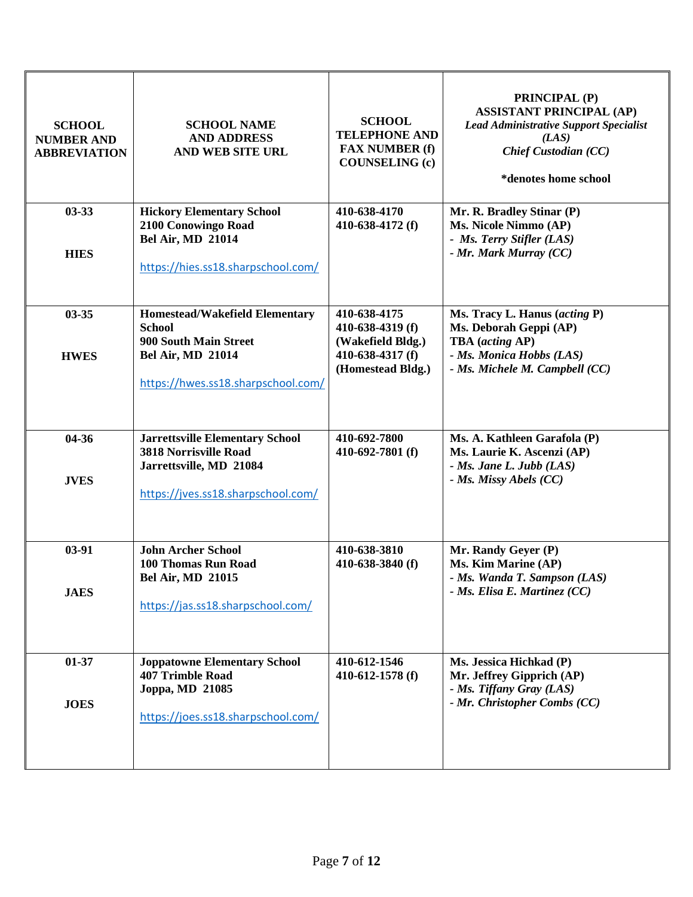| <b>SCHOOL</b><br><b>NUMBER AND</b><br><b>ABBREVIATION</b> | <b>SCHOOL NAME</b><br><b>AND ADDRESS</b><br>AND WEB SITE URL                                                                                      | <b>SCHOOL</b><br><b>TELEPHONE AND</b><br><b>FAX NUMBER (f)</b><br><b>COUNSELING (c)</b>        | <b>PRINCIPAL (P)</b><br><b>ASSISTANT PRINCIPAL (AP)</b><br><b>Lead Administrative Support Specialist</b><br>(LAS)<br><b>Chief Custodian (CC)</b><br>*denotes home school |
|-----------------------------------------------------------|---------------------------------------------------------------------------------------------------------------------------------------------------|------------------------------------------------------------------------------------------------|--------------------------------------------------------------------------------------------------------------------------------------------------------------------------|
| $03 - 33$<br><b>HIES</b>                                  | <b>Hickory Elementary School</b><br>2100 Conowingo Road<br><b>Bel Air, MD 21014</b><br>https://hies.ss18.sharpschool.com/                         | 410-638-4170<br>410-638-4172 (f)                                                               | Mr. R. Bradley Stinar (P)<br>Ms. Nicole Nimmo (AP)<br>- Ms. Terry Stifler (LAS)<br>- Mr. Mark Murray (CC)                                                                |
| $03 - 35$<br><b>HWES</b>                                  | <b>Homestead/Wakefield Elementary</b><br><b>School</b><br>900 South Main Street<br><b>Bel Air, MD 21014</b><br>https://hwes.ss18.sharpschool.com/ | 410-638-4175<br>410-638-4319 (f)<br>(Wakefield Bldg.)<br>410-638-4317 (f)<br>(Homestead Bldg.) | Ms. Tracy L. Hanus (acting P)<br>Ms. Deborah Geppi (AP)<br>TBA (acting AP)<br>- Ms. Monica Hobbs (LAS)<br>- Ms. Michele M. Campbell (CC)                                 |
| 04-36<br><b>JVES</b>                                      | <b>Jarrettsville Elementary School</b><br><b>3818 Norrisville Road</b><br>Jarrettsville, MD 21084<br>https://jves.ss18.sharpschool.com/           | 410-692-7800<br>410-692-7801 (f)                                                               | Ms. A. Kathleen Garafola (P)<br>Ms. Laurie K. Ascenzi (AP)<br>$-$ <i>Ms. Jane L. Jubb (LAS)</i><br>- Ms. Missy Abels (CC)                                                |
| $03-91$<br><b>JAES</b>                                    | <b>John Archer School</b><br>100 Thomas Run Road<br><b>Bel Air, MD 21015</b><br>https://jas.ss18.sharpschool.com/                                 | 410-638-3810<br>410-638-3840 (f)                                                               | Mr. Randy Geyer (P)<br>Ms. Kim Marine (AP)<br>- Ms. Wanda T. Sampson (LAS)<br>$-$ <i>Ms. Elisa E. Martinez (CC)</i>                                                      |
| $01 - 37$<br><b>JOES</b>                                  | <b>Joppatowne Elementary School</b><br><b>407 Trimble Road</b><br>Joppa, MD 21085<br>https://joes.ss18.sharpschool.com/                           | 410-612-1546<br>410-612-1578 (f)                                                               | Ms. Jessica Hichkad (P)<br>Mr. Jeffrey Gipprich (AP)<br>- Ms. Tiffany Gray (LAS)<br>- Mr. Christopher Combs (CC)                                                         |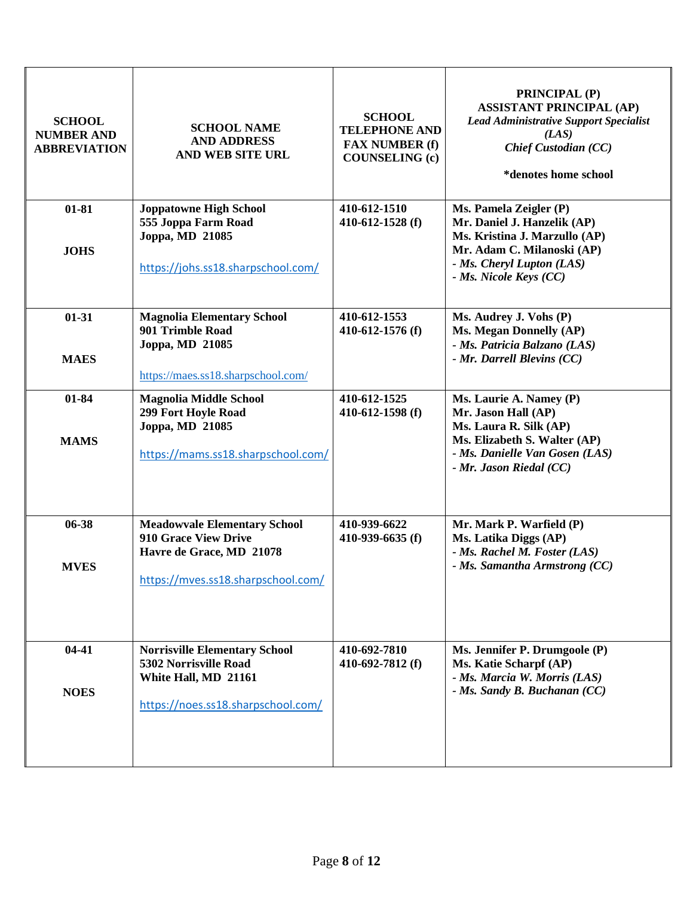| <b>SCHOOL</b><br><b>NUMBER AND</b><br><b>ABBREVIATION</b> | <b>SCHOOL NAME</b><br><b>AND ADDRESS</b><br>AND WEB SITE URL                                                                         | <b>SCHOOL</b><br><b>TELEPHONE AND</b><br><b>FAX NUMBER (f)</b><br><b>COUNSELING (c)</b> | <b>PRINCIPAL (P)</b><br><b>ASSISTANT PRINCIPAL (AP)</b><br><b>Lead Administrative Support Specialist</b><br>(LAS)<br><b>Chief Custodian (CC)</b><br>*denotes home school    |
|-----------------------------------------------------------|--------------------------------------------------------------------------------------------------------------------------------------|-----------------------------------------------------------------------------------------|-----------------------------------------------------------------------------------------------------------------------------------------------------------------------------|
| $01 - 81$<br><b>JOHS</b>                                  | <b>Joppatowne High School</b><br>555 Joppa Farm Road<br>Joppa, MD 21085<br>https://johs.ss18.sharpschool.com/                        | 410-612-1510<br>410-612-1528 (f)                                                        | Ms. Pamela Zeigler (P)<br>Mr. Daniel J. Hanzelik (AP)<br>Ms. Kristina J. Marzullo (AP)<br>Mr. Adam C. Milanoski (AP)<br>- Ms. Cheryl Lupton (LAS)<br>- Ms. Nicole Keys (CC) |
| $01 - 31$<br><b>MAES</b>                                  | <b>Magnolia Elementary School</b><br>901 Trimble Road<br>Joppa, MD 21085<br>https://maes.ss18.sharpschool.com/                       | 410-612-1553<br>410-612-1576 (f)                                                        | Ms. Audrey J. Vohs (P)<br>Ms. Megan Donnelly (AP)<br>- Ms. Patricia Balzano (LAS)<br>- Mr. Darrell Blevins (CC)                                                             |
| 01-84<br><b>MAMS</b>                                      | <b>Magnolia Middle School</b><br>299 Fort Hoyle Road<br>Joppa, MD 21085<br>https://mams.ss18.sharpschool.com/                        | 410-612-1525<br>410-612-1598 (f)                                                        | Ms. Laurie A. Namey (P)<br>Mr. Jason Hall (AP)<br>Ms. Laura R. Silk (AP)<br>Ms. Elizabeth S. Walter (AP)<br>- Ms. Danielle Van Gosen (LAS)<br>- Mr. Jason Riedal (CC)       |
| 06-38<br><b>MVES</b>                                      | <b>Meadowyale Elementary School</b><br><b>910 Grace View Drive</b><br>Havre de Grace, MD 21078<br>https://mves.ss18.sharpschool.com/ | 410-939-6622<br>410-939-6635 (f)                                                        | Mr. Mark P. Warfield (P)<br>Ms. Latika Diggs (AP)<br>- Ms. Rachel M. Foster (LAS)<br>- Ms. Samantha Armstrong (CC)                                                          |
| $04-41$<br><b>NOES</b>                                    | <b>Norrisville Elementary School</b><br>5302 Norrisville Road<br>White Hall, MD 21161<br>https://noes.ss18.sharpschool.com/          | 410-692-7810<br>410-692-7812 (f)                                                        | Ms. Jennifer P. Drumgoole (P)<br>Ms. Katie Scharpf (AP)<br>- Ms. Marcia W. Morris (LAS)<br>- Ms. Sandy B. Buchanan (CC)                                                     |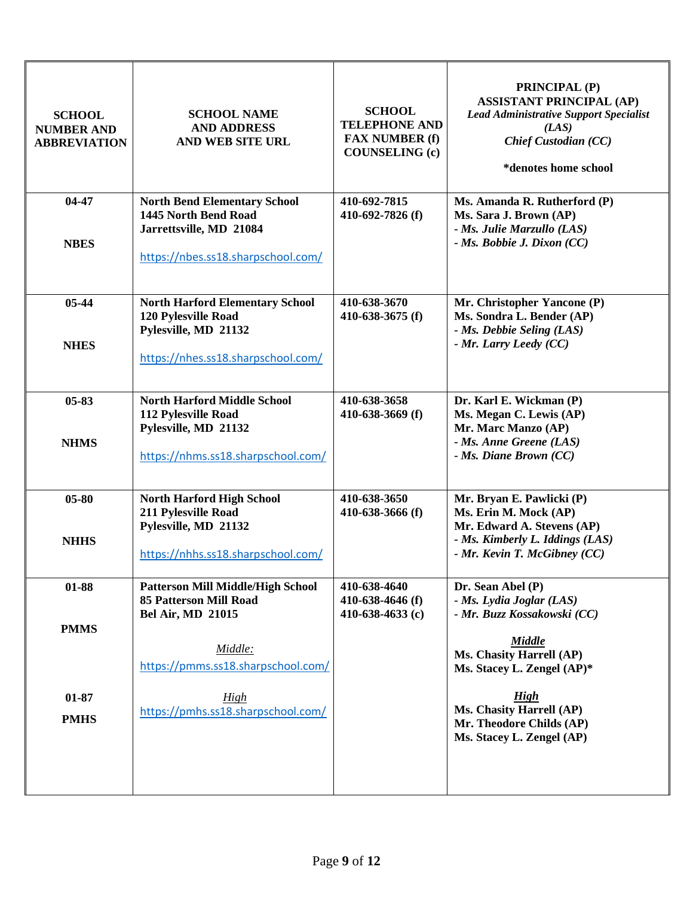| <b>SCHOOL</b><br><b>NUMBER AND</b><br><b>ABBREVIATION</b> | <b>SCHOOL NAME</b><br><b>AND ADDRESS</b><br><b>AND WEB SITE URL</b>                                                                                                                                  | <b>SCHOOL</b><br><b>TELEPHONE AND</b><br><b>FAX NUMBER (f)</b><br><b>COUNSELING (c)</b> | <b>PRINCIPAL (P)</b><br><b>ASSISTANT PRINCIPAL (AP)</b><br><b>Lead Administrative Support Specialist</b><br>(LAS)<br><b>Chief Custodian (CC)</b><br>*denotes home school                                                       |
|-----------------------------------------------------------|------------------------------------------------------------------------------------------------------------------------------------------------------------------------------------------------------|-----------------------------------------------------------------------------------------|--------------------------------------------------------------------------------------------------------------------------------------------------------------------------------------------------------------------------------|
| 04-47<br><b>NBES</b>                                      | <b>North Bend Elementary School</b><br>1445 North Bend Road<br>Jarrettsville, MD 21084<br>https://nbes.ss18.sharpschool.com/                                                                         | 410-692-7815<br>410-692-7826 (f)                                                        | Ms. Amanda R. Rutherford (P)<br>Ms. Sara J. Brown (AP)<br>- Ms. Julie Marzullo (LAS)<br>$-$ <i>Ms. Bobbie J. Dixon (CC)</i>                                                                                                    |
| $05 - 44$<br><b>NHES</b>                                  | <b>North Harford Elementary School</b><br>120 Pylesville Road<br>Pylesville, MD 21132<br>https://nhes.ss18.sharpschool.com/                                                                          | 410-638-3670<br>410-638-3675 $(f)$                                                      | Mr. Christopher Yancone (P)<br>Ms. Sondra L. Bender (AP)<br>- Ms. Debbie Seling (LAS)<br>- Mr. Larry Leedy (CC)                                                                                                                |
| $05 - 83$<br><b>NHMS</b>                                  | <b>North Harford Middle School</b><br>112 Pylesville Road<br>Pylesville, MD 21132<br>https://nhms.ss18.sharpschool.com/                                                                              | 410-638-3658<br>410-638-3669 $(f)$                                                      | Dr. Karl E. Wickman (P)<br>Ms. Megan C. Lewis (AP)<br>Mr. Marc Manzo (AP)<br>- Ms. Anne Greene (LAS)<br>$-$ <i>Ms. Diane Brown (CC)</i>                                                                                        |
| $05 - 80$<br><b>NHHS</b>                                  | <b>North Harford High School</b><br>211 Pylesville Road<br>Pylesville, MD 21132<br>https://nhhs.ss18.sharpschool.com/                                                                                | 410-638-3650<br>410-638-3666 (f)                                                        | Mr. Bryan E. Pawlicki (P)<br>Ms. Erin M. Mock (AP)<br>Mr. Edward A. Stevens (AP)<br>- Ms. Kimberly L. Iddings (LAS)<br>- Mr. Kevin T. McGibney (CC)                                                                            |
| $01 - 88$<br><b>PMMS</b><br>$01 - 87$<br><b>PMHS</b>      | <b>Patterson Mill Middle/High School</b><br><b>85 Patterson Mill Road</b><br><b>Bel Air, MD 21015</b><br>Middle:<br>https://pmms.ss18.sharpschool.com/<br>High<br>https://pmhs.ss18.sharpschool.com/ | 410-638-4640<br>410-638-4646 $(f)$<br>410-638-4633 (c)                                  | Dr. Sean Abel (P)<br>- Ms. Lydia Joglar (LAS)<br>- Mr. Buzz Kossakowski (CC)<br><b>Middle</b><br>Ms. Chasity Harrell (AP)<br>Ms. Stacey L. Zengel (AP)*<br><b>High</b><br>Ms. Chasity Harrell (AP)<br>Mr. Theodore Childs (AP) |
|                                                           |                                                                                                                                                                                                      |                                                                                         | Ms. Stacey L. Zengel (AP)                                                                                                                                                                                                      |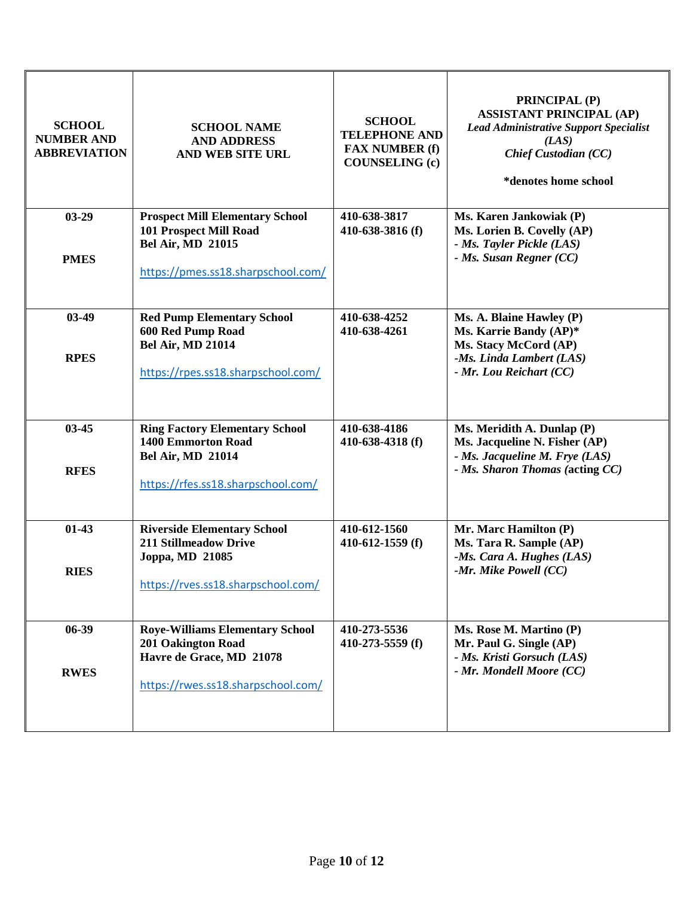| <b>SCHOOL</b><br><b>NUMBER AND</b><br><b>ABBREVIATION</b> | <b>SCHOOL NAME</b><br><b>AND ADDRESS</b><br>AND WEB SITE URL                                                                              | <b>SCHOOL</b><br><b>TELEPHONE AND</b><br><b>FAX NUMBER (f)</b><br><b>COUNSELING (c)</b> | <b>PRINCIPAL (P)</b><br><b>ASSISTANT PRINCIPAL (AP)</b><br><b>Lead Administrative Support Specialist</b><br>(LAS)<br><b>Chief Custodian (CC)</b><br>*denotes home school |
|-----------------------------------------------------------|-------------------------------------------------------------------------------------------------------------------------------------------|-----------------------------------------------------------------------------------------|--------------------------------------------------------------------------------------------------------------------------------------------------------------------------|
| $03-29$<br><b>PMES</b>                                    | <b>Prospect Mill Elementary School</b><br><b>101 Prospect Mill Road</b><br><b>Bel Air, MD 21015</b><br>https://pmes.ss18.sharpschool.com/ | 410-638-3817<br>410-638-3816 (f)                                                        | Ms. Karen Jankowiak (P)<br>Ms. Lorien B. Covelly (AP)<br>- Ms. Tayler Pickle (LAS)<br>$-$ <i>Ms. Susan Regner (CC)</i>                                                   |
| $03-49$<br><b>RPES</b>                                    | <b>Red Pump Elementary School</b><br><b>600 Red Pump Road</b><br><b>Bel Air, MD 21014</b><br>https://rpes.ss18.sharpschool.com/           | 410-638-4252<br>410-638-4261                                                            | Ms. A. Blaine Hawley (P)<br>Ms. Karrie Bandy (AP)*<br>Ms. Stacy McCord (AP)<br>-Ms. Linda Lambert (LAS)<br>- Mr. Lou Reichart (CC)                                       |
| 03-45<br><b>RFES</b>                                      | <b>Ring Factory Elementary School</b><br><b>1400 Emmorton Road</b><br><b>Bel Air, MD 21014</b><br>https://rfes.ss18.sharpschool.com/      | 410-638-4186<br>410-638-4318 (f)                                                        | Ms. Meridith A. Dunlap (P)<br>Ms. Jacqueline N. Fisher (AP)<br>- Ms. Jacqueline M. Frye (LAS)<br>- Ms. Sharon Thomas (acting CC)                                         |
| $01-43$<br><b>RIES</b>                                    | <b>Riverside Elementary School</b><br><b>211 Stillmeadow Drive</b><br>Joppa, MD 21085<br>https://rves.ss18.sharpschool.com/               | 410-612-1560<br>410-612-1559 $(f)$                                                      | Mr. Marc Hamilton (P)<br>Ms. Tara R. Sample (AP)<br>$-Ms. Cara A. Hughes (LAS)$<br>$-Mr.$ Mike Powell (CC)                                                               |
| 06-39<br><b>RWES</b>                                      | <b>Roye-Williams Elementary School</b><br><b>201 Oakington Road</b><br>Havre de Grace, MD 21078<br>https://rwes.ss18.sharpschool.com/     | 410-273-5536<br>410-273-5559 (f)                                                        | Ms. Rose M. Martino (P)<br>Mr. Paul G. Single (AP)<br>- Ms. Kristi Gorsuch (LAS)<br>- Mr. Mondell Moore (CC)                                                             |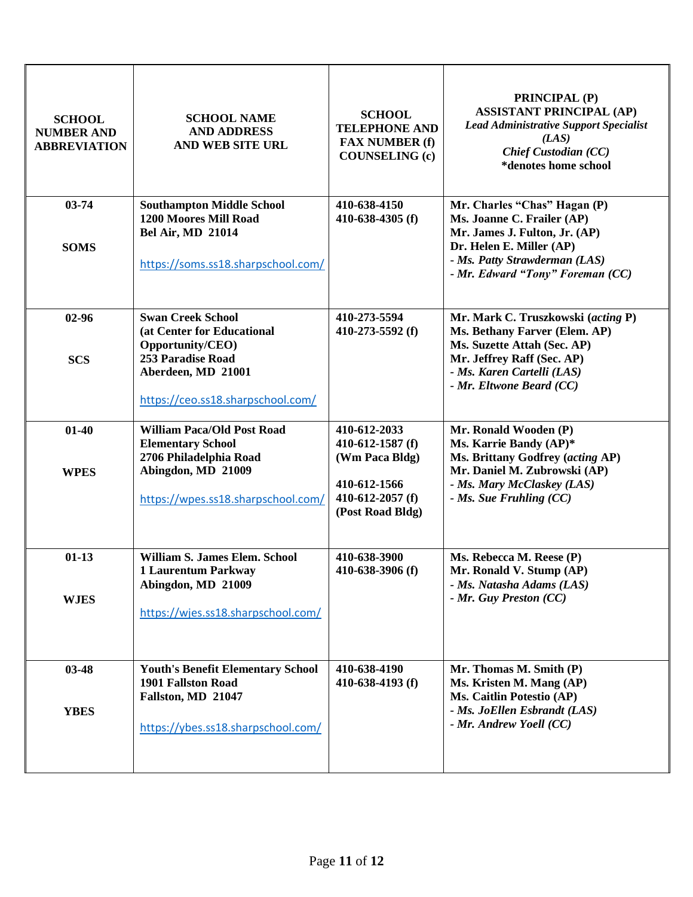| <b>SCHOOL</b><br><b>NUMBER AND</b><br><b>ABBREVIATION</b> | <b>SCHOOL NAME</b><br><b>AND ADDRESS</b><br>AND WEB SITE URL                                                                                               | <b>SCHOOL</b><br><b>TELEPHONE AND</b><br><b>FAX NUMBER (f)</b><br><b>COUNSELING (c)</b>                      | <b>PRINCIPAL (P)</b><br><b>ASSISTANT PRINCIPAL (AP)</b><br><b>Lead Administrative Support Specialist</b><br>(LAS)<br><b>Chief Custodian (CC)</b><br>*denotes home school                     |
|-----------------------------------------------------------|------------------------------------------------------------------------------------------------------------------------------------------------------------|--------------------------------------------------------------------------------------------------------------|----------------------------------------------------------------------------------------------------------------------------------------------------------------------------------------------|
| $03 - 74$<br><b>SOMS</b>                                  | <b>Southampton Middle School</b><br>1200 Moores Mill Road<br><b>Bel Air, MD 21014</b><br>https://soms.ss18.sharpschool.com/                                | 410-638-4150<br>410-638-4305 $(f)$                                                                           | Mr. Charles "Chas" Hagan (P)<br>Ms. Joanne C. Frailer (AP)<br>Mr. James J. Fulton, Jr. (AP)<br>Dr. Helen E. Miller (AP)<br>- Ms. Patty Strawderman (LAS)<br>- Mr. Edward "Tony" Foreman (CC) |
| $02 - 96$<br><b>SCS</b>                                   | <b>Swan Creek School</b><br>(at Center for Educational<br>Opportunity/CEO)<br>253 Paradise Road<br>Aberdeen, MD 21001<br>https://ceo.ss18.sharpschool.com/ | 410-273-5594<br>410-273-5592 (f)                                                                             | Mr. Mark C. Truszkowski (acting P)<br>Ms. Bethany Farver (Elem. AP)<br>Ms. Suzette Attah (Sec. AP)<br>Mr. Jeffrey Raff (Sec. AP)<br>- Ms. Karen Cartelli (LAS)<br>- Mr. Eltwone Beard (CC)   |
| $01-40$<br><b>WPES</b>                                    | <b>William Paca/Old Post Road</b><br><b>Elementary School</b><br>2706 Philadelphia Road<br>Abingdon, MD 21009<br>https://wpes.ss18.sharpschool.com/        | 410-612-2033<br>410-612-1587 $(f)$<br>(Wm Paca Bldg)<br>410-612-1566<br>410-612-2057 (f)<br>(Post Road Bldg) | Mr. Ronald Wooden (P)<br>Ms. Karrie Bandy (AP)*<br>Ms. Brittany Godfrey (acting AP)<br>Mr. Daniel M. Zubrowski (AP)<br>- Ms. Mary McClaskey (LAS)<br>$-$ <i>Ms. Sue Fruhling (CC)</i>        |
| $01-13$<br><b>WJES</b>                                    | <b>William S. James Elem. School</b><br><b>1 Laurentum Parkway</b><br>Abingdon, MD 21009<br>https://wjes.ss18.sharpschool.com/                             | 410-638-3900<br>410-638-3906 (f)                                                                             | Ms. Rebecca M. Reese (P)<br>Mr. Ronald V. Stump (AP)<br>- Ms. Natasha Adams (LAS)<br>- Mr. Guy Preston (CC)                                                                                  |
| $03 - 48$<br><b>YBES</b>                                  | <b>Youth's Benefit Elementary School</b><br><b>1901 Fallston Road</b><br>Fallston, MD 21047<br>https://ybes.ss18.sharpschool.com/                          | 410-638-4190<br>410-638-4193 $(f)$                                                                           | Mr. Thomas M. Smith (P)<br>Ms. Kristen M. Mang (AP)<br>Ms. Caitlin Potestio (AP)<br>- Ms. JoEllen Esbrandt (LAS)<br>- Mr. Andrew Yoell (CC)                                                  |